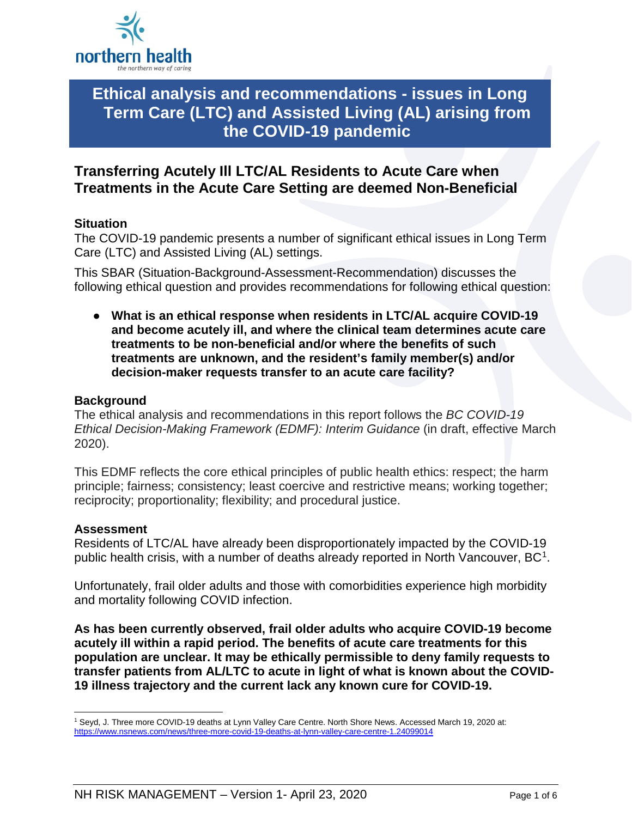

# **Ethical analysis and recommendations - issues in Long Term Care (LTC) and Assisted Living (AL) arising from the COVID-19 pandemic**

## **Transferring Acutely Ill LTC/AL Residents to Acute Care when Treatments in the Acute Care Setting are deemed Non-Beneficial**

## **Situation**

The COVID-19 pandemic presents a number of significant ethical issues in Long Term Care (LTC) and Assisted Living (AL) settings.

This SBAR (Situation-Background-Assessment-Recommendation) discusses the following ethical question and provides recommendations for following ethical question:

● **What is an ethical response when residents in LTC/AL acquire COVID-19 and become acutely ill, and where the clinical team determines acute care treatments to be non-beneficial and/or where the benefits of such treatments are unknown, and the resident's family member(s) and/or decision-maker requests transfer to an acute care facility?**

## **Background**

The ethical analysis and recommendations in this report follows the *BC COVID-19 Ethical Decision-Making Framework (EDMF): Interim Guidance* (in draft, effective March 2020).

This EDMF reflects the core ethical principles of public health ethics: respect; the harm principle; fairness; consistency; least coercive and restrictive means; working together; reciprocity; proportionality; flexibility; and procedural justice.

## **Assessment**

Residents of LTC/AL have already been disproportionately impacted by the COVID-19 public health crisis, with a number of deaths already reported in North Vancouver, BC<sup>1</sup>.

Unfortunately, frail older adults and those with comorbidities experience high morbidity and mortality following COVID infection.

**As has been currently observed, frail older adults who acquire COVID-19 become acutely ill within a rapid period. The benefits of acute care treatments for this population are unclear. It may be ethically permissible to deny family requests to transfer patients from AL/LTC to acute in light of what is known about the COVID-19 illness trajectory and the current lack any known cure for COVID-19.**

<span id="page-0-0"></span> <sup>1</sup> Seyd, J. Three more COVID-19 deaths at Lynn Valley Care Centre. North Shore News. Accessed March 19, 2020 at: https://www.nsnews.com/news/three-more-covid-19-deaths-at-lynn-valley-care-centre-1.24099014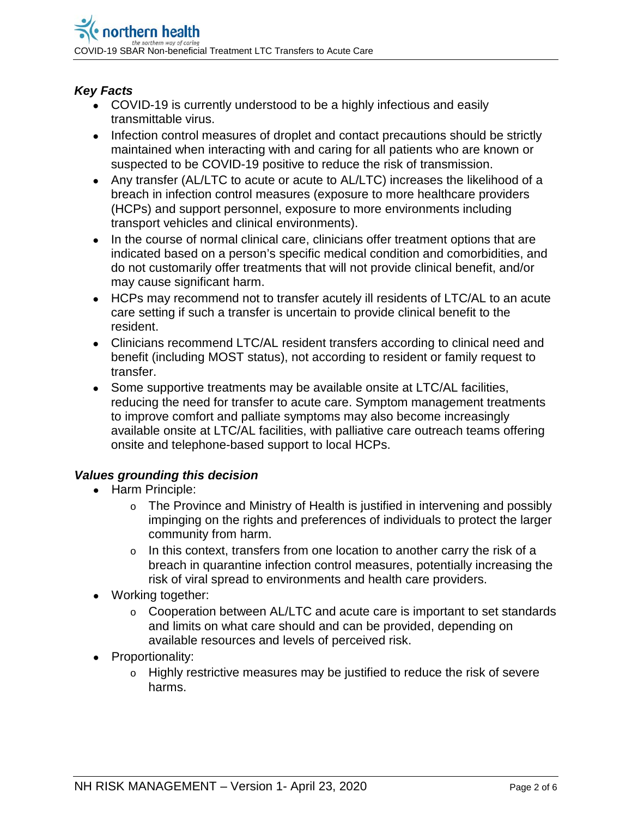## *Key Facts*

- COVID-19 is currently understood to be a highly infectious and easily transmittable virus.
- Infection control measures of droplet and contact precautions should be strictly maintained when interacting with and caring for all patients who are known or suspected to be COVID-19 positive to reduce the risk of transmission.
- Any transfer (AL/LTC to acute or acute to AL/LTC) increases the likelihood of a breach in infection control measures (exposure to more healthcare providers (HCPs) and support personnel, exposure to more environments including transport vehicles and clinical environments).
- In the course of normal clinical care, clinicians offer treatment options that are indicated based on a person's specific medical condition and comorbidities, and do not customarily offer treatments that will not provide clinical benefit, and/or may cause significant harm.
- HCPs may recommend not to transfer acutely ill residents of LTC/AL to an acute care setting if such a transfer is uncertain to provide clinical benefit to the resident.
- Clinicians recommend LTC/AL resident transfers according to clinical need and benefit (including MOST status), not according to resident or family request to transfer.
- Some supportive treatments may be available onsite at LTC/AL facilities, reducing the need for transfer to acute care. Symptom management treatments to improve comfort and palliate symptoms may also become increasingly available onsite at LTC/AL facilities, with palliative care outreach teams offering onsite and telephone-based support to local HCPs.

## *Values grounding this decision*

- Harm Principle:
	- o The Province and Ministry of Health is justified in intervening and possibly impinging on the rights and preferences of individuals to protect the larger community from harm.
	- $\circ$  In this context, transfers from one location to another carry the risk of a breach in quarantine infection control measures, potentially increasing the risk of viral spread to environments and health care providers.
- Working together:
	- $\circ$  Cooperation between AL/LTC and acute care is important to set standards and limits on what care should and can be provided, depending on available resources and levels of perceived risk.
- Proportionality:
	- $\circ$  Highly restrictive measures may be justified to reduce the risk of severe harms.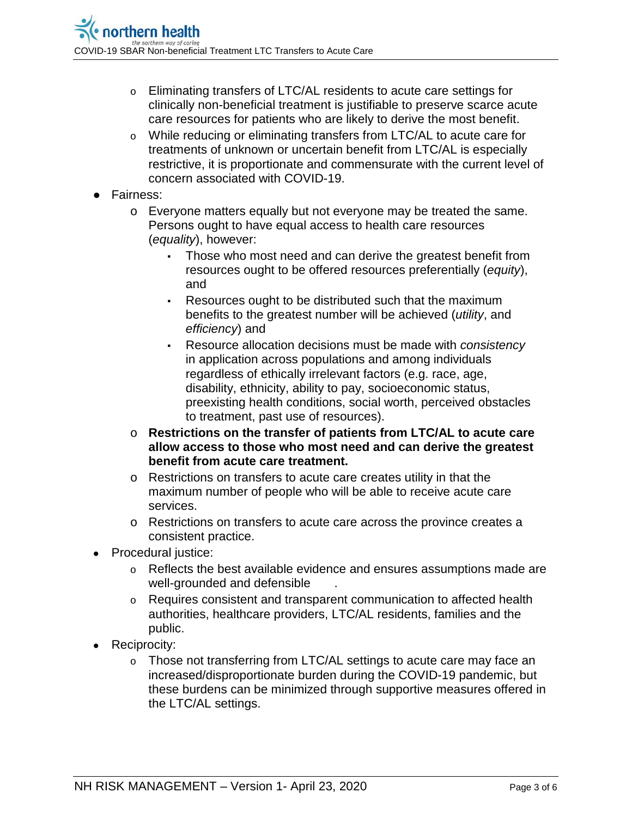- o Eliminating transfers of LTC/AL residents to acute care settings for clinically non-beneficial treatment is justifiable to preserve scarce acute care resources for patients who are likely to derive the most benefit.
- o While reducing or eliminating transfers from LTC/AL to acute care for treatments of unknown or uncertain benefit from LTC/AL is especially restrictive, it is proportionate and commensurate with the current level of concern associated with COVID-19.
- Fairness:
	- $\circ$  Everyone matters equally but not everyone may be treated the same. Persons ought to have equal access to health care resources (*equality*), however:
		- Those who most need and can derive the greatest benefit from resources ought to be offered resources preferentially (*equity*), and
		- Resources ought to be distributed such that the maximum benefits to the greatest number will be achieved (*utility*, and *efficiency*) and
		- Resource allocation decisions must be made with *consistency* in application across populations and among individuals regardless of ethically irrelevant factors (e.g. race, age, disability, ethnicity, ability to pay, socioeconomic status, preexisting health conditions, social worth, perceived obstacles to treatment, past use of resources).
	- o **Restrictions on the transfer of patients from LTC/AL to acute care allow access to those who most need and can derive the greatest benefit from acute care treatment.**
	- o Restrictions on transfers to acute care creates utility in that the maximum number of people who will be able to receive acute care services.
	- o Restrictions on transfers to acute care across the province creates a consistent practice.
- **Procedural justice:** 
	- o Reflects the best available evidence and ensures assumptions made are well-grounded and defensible
	- $\circ$  Requires consistent and transparent communication to affected health authorities, healthcare providers, LTC/AL residents, families and the public.
- Reciprocity:
	- o Those not transferring from LTC/AL settings to acute care may face an increased/disproportionate burden during the COVID-19 pandemic, but these burdens can be minimized through supportive measures offered in the LTC/AL settings.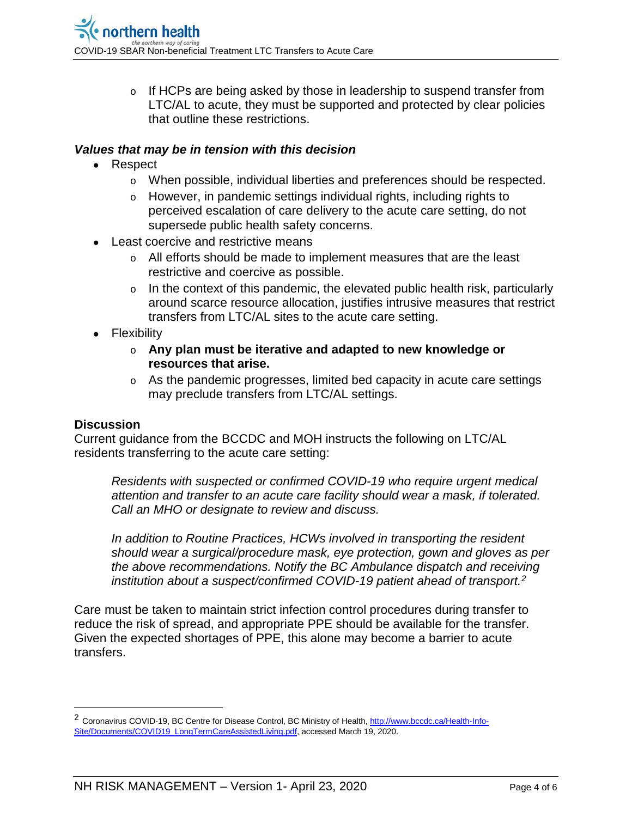o If HCPs are being asked by those in leadership to suspend transfer from LTC/AL to acute, they must be supported and protected by clear policies that outline these restrictions.

## *Values that may be in tension with this decision*

- Respect
	- o When possible, individual liberties and preferences should be respected.
	- o However, in pandemic settings individual rights, including rights to perceived escalation of care delivery to the acute care setting, do not supersede public health safety concerns.
- Least coercive and restrictive means
	- $\circ$  All efforts should be made to implement measures that are the least restrictive and coercive as possible.
	- $\circ$  In the context of this pandemic, the elevated public health risk, particularly around scarce resource allocation, justifies intrusive measures that restrict transfers from LTC/AL sites to the acute care setting.
- **Flexibility** 
	- o **Any plan must be iterative and adapted to new knowledge or resources that arise.**
	- o As the pandemic progresses, limited bed capacity in acute care settings may preclude transfers from LTC/AL settings.

## **Discussion**

Current guidance from the BCCDC and MOH instructs the following on LTC/AL residents transferring to the acute care setting:

*Residents with suspected or confirmed COVID-19 who require urgent medical attention and transfer to an acute care facility should wear a mask, if tolerated. Call an MHO or designate to review and discuss.* 

*In addition to Routine Practices, HCWs involved in transporting the resident should wear a surgical/procedure mask, eye protection, gown and gloves as per the above recommendations. Notify the BC Ambulance dispatch and receiving institution about a suspect/confirmed COVID-19 patient ahead of transport[.2](#page-3-0)*

Care must be taken to maintain strict infection control procedures during transfer to reduce the risk of spread, and appropriate PPE should be available for the transfer. Given the expected shortages of PPE, this alone may become a barrier to acute transfers.

<span id="page-3-0"></span><sup>&</sup>lt;sup>2</sup> Coronavirus COVID-19, BC Centre for Disease Control, BC Ministry of Health[, http://www.bccdc.ca/Health-Info-](http://www.bccdc.ca/Health-Info-Site/Documents/COVID19_LongTermCareAssistedLiving.pdf)[Site/Documents/COVID19\\_LongTermCareAssistedLiving.pdf,](http://www.bccdc.ca/Health-Info-Site/Documents/COVID19_LongTermCareAssistedLiving.pdf) accessed March 19, 2020.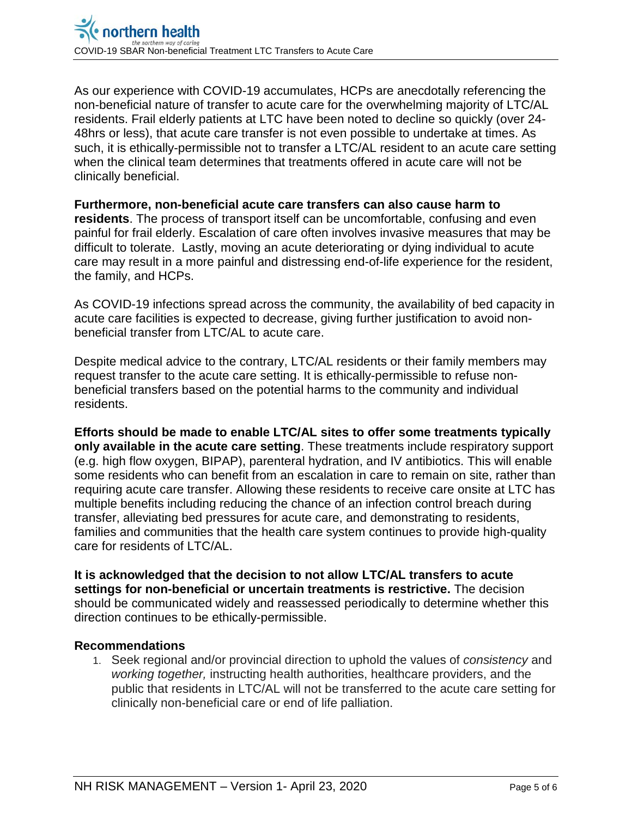As our experience with COVID-19 accumulates, HCPs are anecdotally referencing the non-beneficial nature of transfer to acute care for the overwhelming majority of LTC/AL residents. Frail elderly patients at LTC have been noted to decline so quickly (over 24- 48hrs or less), that acute care transfer is not even possible to undertake at times. As such, it is ethically-permissible not to transfer a LTC/AL resident to an acute care setting when the clinical team determines that treatments offered in acute care will not be clinically beneficial.

**Furthermore, non-beneficial acute care transfers can also cause harm to residents**. The process of transport itself can be uncomfortable, confusing and even painful for frail elderly. Escalation of care often involves invasive measures that may be difficult to tolerate. Lastly, moving an acute deteriorating or dying individual to acute care may result in a more painful and distressing end-of-life experience for the resident, the family, and HCPs.

As COVID-19 infections spread across the community, the availability of bed capacity in acute care facilities is expected to decrease, giving further justification to avoid nonbeneficial transfer from LTC/AL to acute care.

Despite medical advice to the contrary, LTC/AL residents or their family members may request transfer to the acute care setting. It is ethically-permissible to refuse nonbeneficial transfers based on the potential harms to the community and individual residents.

**Efforts should be made to enable LTC/AL sites to offer some treatments typically only available in the acute care setting**. These treatments include respiratory support (e.g. high flow oxygen, BIPAP), parenteral hydration, and IV antibiotics. This will enable some residents who can benefit from an escalation in care to remain on site, rather than requiring acute care transfer. Allowing these residents to receive care onsite at LTC has multiple benefits including reducing the chance of an infection control breach during transfer, alleviating bed pressures for acute care, and demonstrating to residents, families and communities that the health care system continues to provide high-quality care for residents of LTC/AL.

**It is acknowledged that the decision to not allow LTC/AL transfers to acute settings for non-beneficial or uncertain treatments is restrictive.** The decision should be communicated widely and reassessed periodically to determine whether this direction continues to be ethically-permissible.

## **Recommendations**

1. Seek regional and/or provincial direction to uphold the values of *consistency* and *working together,* instructing health authorities, healthcare providers, and the public that residents in LTC/AL will not be transferred to the acute care setting for clinically non-beneficial care or end of life palliation.